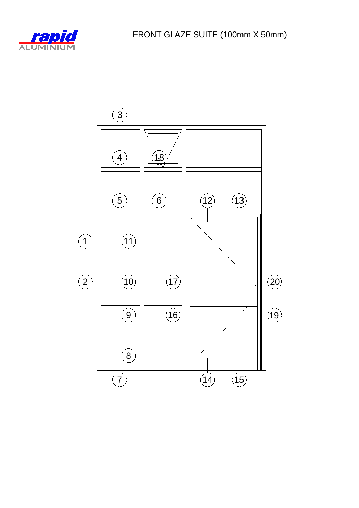

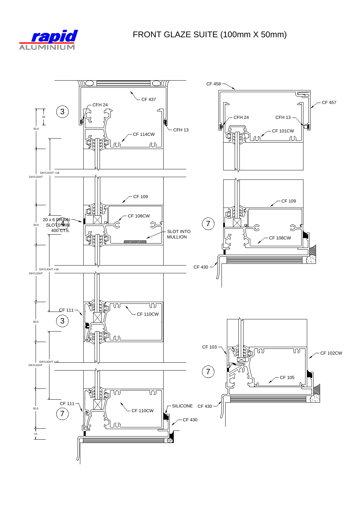

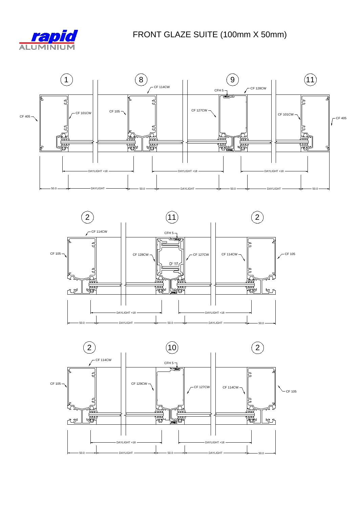





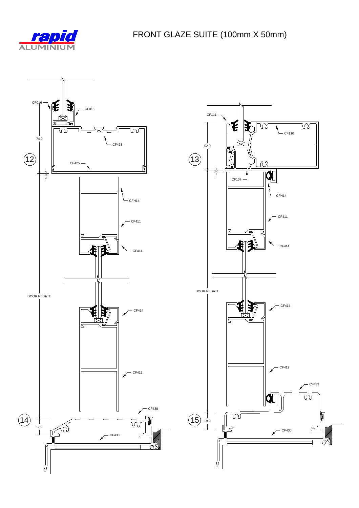

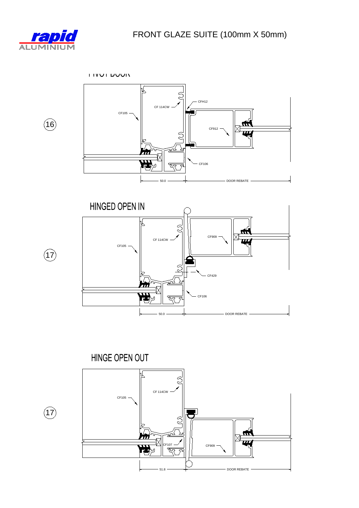

 $\circled{16}$ 

 $\left( \overline{17}\right)$ 

 $\bigodot$ 

**FIVUI DUUIV** 





HINGE OPEN OUT

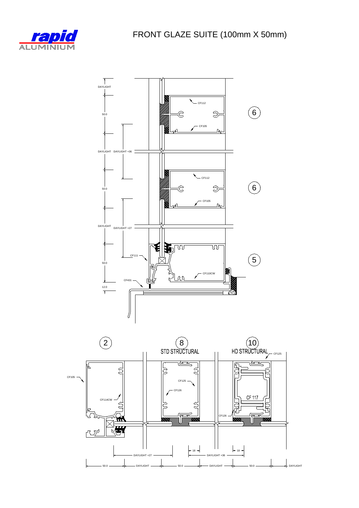



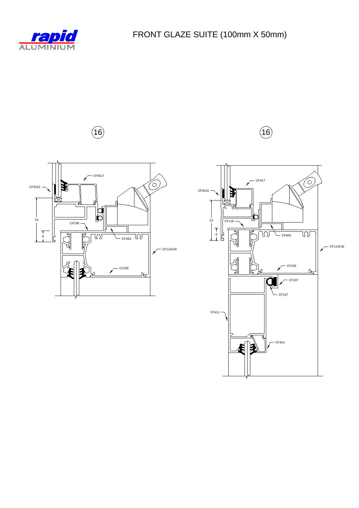



**16** (**16**)